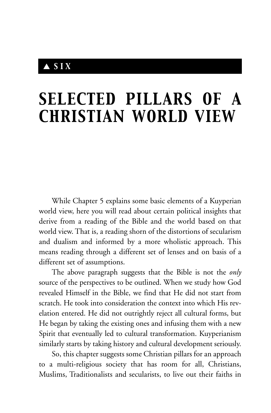# ▲ *SIX*

# *SELECTED PILLARS OF A CHRISTIAN WORLD VIEW*

While Chapter 5 explains some basic elements of a Kuyperian world view, here you will read about certain political insights that derive from a reading of the Bible and the world based on that world view. That is, a reading shorn of the distortions of secularism and dualism and informed by a more wholistic approach. This means reading through a different set of lenses and on basis of a different set of assumptions.

The above paragraph suggests that the Bible is not the *only* source of the perspectives to be outlined. When we study how God revealed Himself in the Bible, we find that He did not start from scratch. He took into consideration the context into which His revelation entered. He did not outrightly reject all cultural forms, but He began by taking the existing ones and infusing them with a new Spirit that eventually led to cultural transformation. Kuyperianism similarly starts by taking history and cultural development seriously.

So, this chapter suggests some Christian pillars for an approach to a multi-religious society that has room for all, Christians, Muslims, Traditionalists and secularists, to live out their faiths in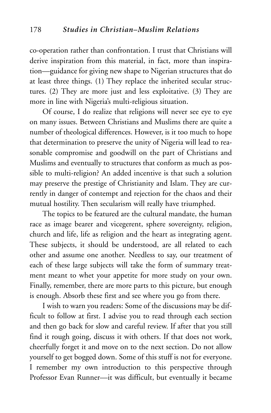co-operation rather than confrontation. I trust that Christians will derive inspiration from this material, in fact, more than inspiration—guidance for giving new shape to Nigerian structures that do at least three things. (1) They replace the inherited secular structures. (2) They are more just and less exploitative. (3) They are more in line with Nigeria's multi-religious situation.

Of course, I do realize that religions will never see eye to eye on many issues. Between Christians and Muslims there are quite a number of theological differences. However, is it too much to hope that determination to preserve the unity of Nigeria will lead to reasonable compromise and goodwill on the part of Christians and Muslims and eventually to structures that conform as much as possible to multi-religion? An added incentive is that such a solution may preserve the prestige of Christianity and Islam. They are currently in danger of contempt and rejection for the chaos and their mutual hostility. Then secularism will really have triumphed.

The topics to be featured are the cultural mandate, the human race as image bearer and vicegerent, sphere sovereignty, religion, church and life, life as religion and the heart as integrating agent. These subjects, it should be understood, are all related to each other and assume one another. Needless to say, our treatment of each of these large subjects will take the form of summary treatment meant to whet your appetite for more study on your own. Finally, remember, there are more parts to this picture, but enough is enough. Absorb these first and see where you go from there.

I wish to warn you readers: Some of the discussions may be difficult to follow at first. I advise you to read through each section and then go back for slow and careful review. If after that you still find it rough going, discuss it with others. If that does not work, cheerfully forget it and move on to the next section. Do not allow yourself to get bogged down. Some of this stuff is not for everyone. I remember my own introduction to this perspective through Professor Evan Runner—it was difficult, but eventually it became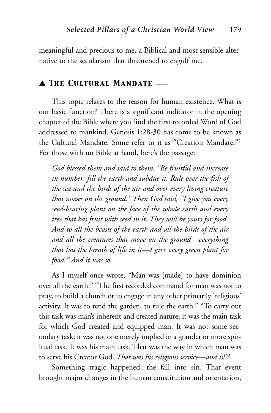meaningful and precious to me, a Biblical and most sensible alternative to the secularism that threatened to engulf me.

#### ▲ *The Cultural Mandate* \_\_\_

This topic relates to the reason for human existence. What is our basic function? There is a significant indicator in the opening chapter of the Bible where you find the first recorded Word of God addressed to mankind. Genesis 1:28-30 has come to be known as the Cultural Mandate. Some refer to it as "Creation Mandate."1 For those with no Bible at hand, here's the passage:

*God blessed them and said to them, "Be fruitful and increase in number; fill the earth and subdue it. Rule over the fish of the sea and the birds of the air and over every living creature that moves on the ground." Then God said, "I give you every seed-bearing plant on the face of the whole earth and every tree that has fruit with seed in it. They will be yours for food. And to all the beasts of the earth and all the birds of the air and all the creatures that move on the ground—everything that has the breath of life in it—I give every green plant for food." And it was so.*

As I myself once wrote, "Man was [made] to have dominion over all the earth." "The first recorded command for man was not to pray, to build a church or to engage in any other primarily 'religious' activity. It was to tend the garden, to rule the earth." "To carry out this task was man's inherent and created nature; it was the main task for which God created and equipped man. It was not some secondary task; it was not one merely implied in a grander or more spiritual task. It was his main task. That was the way in which man was to serve his Creator God. *That was his religious service—and is!"*<sup>2</sup>

Something tragic happened: the fall into sin. That event brought major changes in the human constitution and orientation,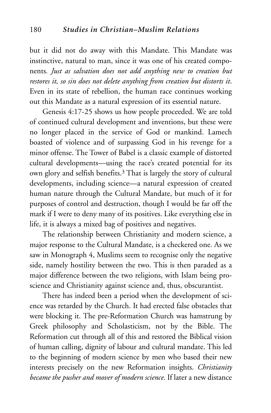but it did not do away with this Mandate. This Mandate was instinctive, natural to man, since it was one of his created components*. Just as salvation does not add anything new to creation but restores it, so sin does not delete anything from creation but distorts it*. Even in its state of rebellion, the human race continues working out this Mandate as a natural expression of its essential nature.

Genesis 4:17-25 shows us how people proceeded. We are told of continued cultural development and inventions, but these were no longer placed in the service of God or mankind. Lamech boasted of violence and of surpassing God in his revenge for a minor offense. The Tower of Babel is a classic example of distorted cultural developments—using the race's created potential for its own glory and selfish benefits.3 That is largely the story of cultural developments, including science—a natural expression of created human nature through the Cultural Mandate, but much of it for purposes of control and destruction, though I would be far off the mark if I were to deny many of its positives. Like everything else in life, it is always a mixed bag of positives and negatives.

The relationship between Christianity and modern science, a major response to the Cultural Mandate, is a checkered one. As we saw in Monograph 4, Muslims seem to recognise only the negative side, namely hostility between the two. This is then paraded as a major difference between the two religions, with Islam being proscience and Christianity against science and, thus, obscurantist.

There has indeed been a period when the development of science was retarded by the Church. It had erected false obstacles that were blocking it. The pre-Reformation Church was hamstrung by Greek philosophy and Scholasticism, not by the Bible. The Reformation cut through all of this and restored the Biblical vision of human calling, dignity of labour and cultural mandate. This led to the beginning of modern science by men who based their new interests precisely on the new Reformation insights. *Christianity became the pusher and mover of modern science.* If later a new distance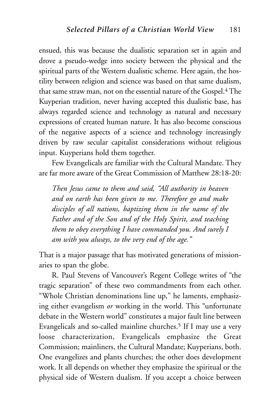ensued, this was because the dualistic separation set in again and drove a pseudo-wedge into society between the physical and the spiritual parts of the Western dualistic scheme. Here again, the hostility between religion and science was based on that same dualism, that same straw man, not on the essential nature of the Gospel.<sup>4</sup> The Kuyperian tradition, never having accepted this dualistic base, has always regarded science and technology as natural and necessary expressions of created human nature. It has also become conscious of the negative aspects of a science and technology increasingly driven by raw secular capitalist considerations without religious input. Kuyperians hold them together.

Few Evangelicals are familiar with the Cultural Mandate. They are far more aware of the Great Commission of Matthew 28:18-20:

*Then Jesus came to them and said, "All authority in heaven and on earth has been given to me. Therefore go and make disciples of all nations, baptizing them in the name of the Father and of the Son and of the Holy Spirit, and teaching them to obey everything I have commanded you. And surely I am with you always, to the very end of the age."*

That is a major passage that has motivated generations of missionaries to span the globe.

R. Paul Stevens of Vancouver's Regent College writes of "the tragic separation" of these two commandments from each other. "Whole Christian denominations line up," he laments, emphasizing either evangelism *or* working in the world. This "unfortunate debate in the Western world" constitutes a major fault line between Evangelicals and so-called mainline churches.<sup>5</sup> If I may use a very loose characterization, Evangelicals emphasize the Great Commission; mainliners, the Cultural Mandate; Kuyperians, both. One evangelizes and plants churches; the other does development work. It all depends on whether they emphasize the spiritual or the physical side of Western dualism. If you accept a choice between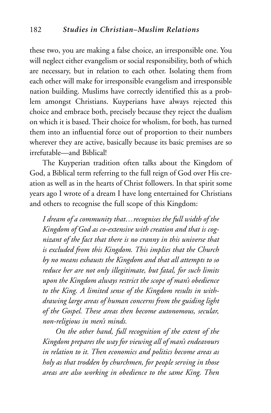these two, you are making a false choice, an irresponsible one. You will neglect either evangelism or social responsibility, both of which are necessary, but in relation to each other. Isolating them from each other will make for irresponsible evangelism and irresponsible nation building. Muslims have correctly identified this as a problem amongst Christians. Kuyperians have always rejected this choice and embrace both, precisely because they reject the dualism on which it is based. Their choice for wholism, for both, has turned them into an influential force out of proportion to their numbers wherever they are active, basically because its basic premises are so irrefutable—and Biblical!

The Kuyperian tradition often talks about the Kingdom of God, a Biblical term referring to the full reign of God over His creation as well as in the hearts of Christ followers. In that spirit some years ago I wrote of a dream I have long entertained for Christians and others to recognise the full scope of this Kingdom:

*I dream of a community that…recognises the full width of the Kingdom of God as co-extensive with creation and that is cognizant of the fact that there is no cranny in this universe that is excluded from this Kingdom. This implies that the Church by no means exhausts the Kingdom and that all attempts to so reduce her are not only illegitimate, but fatal, for such limits upon the Kingdom always restrict the scope of man's obedience to the King. A limited sense of the Kingdom results in withdrawing large areas of human concerns from the guiding light of the Gospel. These areas then become autonomous, secular, non-religious in men's minds.*

*On the other hand, full recognition of the extent of the Kingdom prepares the way for viewing all of man's endeavours in relation to it. Then economics and politics become areas as holy as that trodden by churchmen, for people serving in those areas are also working in obedience to the same King. Then*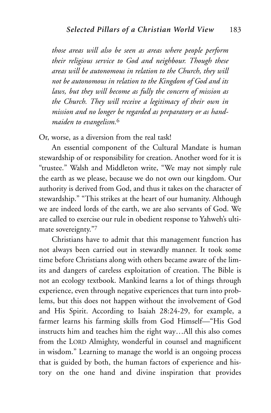*those areas will also be seen as areas where people perform their religious service to God and neighbour. Though these areas will be autonomous in relation to the Church, they will not be autonomous in relation to the Kingdom of God and its laws, but they will become as fully the concern of mission as the Church. They will receive a legitimacy of their own in mission and no longer be regarded as preparatory or as handmaiden to evangelism.*<sup>6</sup>

Or, worse, as a diversion from the real task!

An essential component of the Cultural Mandate is human stewardship of or responsibility for creation. Another word for it is "trustee." Walsh and Middleton write, "We may not simply rule the earth as we please, because we do not own our kingdom. Our authority is derived from God, and thus it takes on the character of stewardship." "This strikes at the heart of our humanity. Although we are indeed lords of the earth, we are also servants of God. We are called to exercise our rule in obedient response to Yahweh's ultimate sovereignty."7

Christians have to admit that this management function has not always been carried out in stewardly manner. It took some time before Christians along with others became aware of the limits and dangers of careless exploitation of creation. The Bible is not an ecology textbook. Mankind learns a lot of things through experience, even through negative experiences that turn into problems, but this does not happen without the involvement of God and His Spirit. According to Isaiah 28:24-29, for example, a farmer learns his farming skills from God Himself—"His God instructs him and teaches him the right way…All this also comes from the LORD Almighty, wonderful in counsel and magnificent in wisdom." Learning to manage the world is an ongoing process that is guided by both, the human factors of experience and history on the one hand and divine inspiration that provides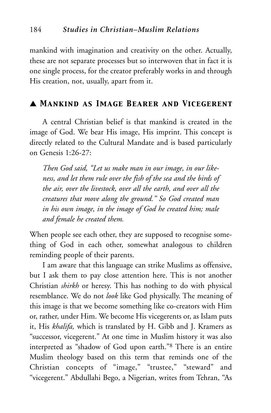mankind with imagination and creativity on the other. Actually, these are not separate processes but so interwoven that in fact it is one single process, for the creator preferably works in and through His creation, not, usually, apart from it.

# ▲ *Mankind as Image Bearer and Vicegerent*

A central Christian belief is that mankind is created in the image of God. We bear His image, His imprint. This concept is directly related to the Cultural Mandate and is based particularly on Genesis 1:26-27:

*Then God said, "Let us make man in our image, in our likeness, and let them rule over the fish of the sea and the birds of the air, over the livestock, over all the earth, and over all the creatures that move along the ground." So God created man in his own image, in the image of God he created him; male and female he created them.*

When people see each other, they are supposed to recognise something of God in each other, somewhat analogous to children reminding people of their parents.

I am aware that this language can strike Muslims as offensive, but I ask them to pay close attention here. This is not another Christian *shirkh* or heresy. This has nothing to do with physical resemblance. We do not *look* like God physically. The meaning of this image is that we become something like co-creators with Him or, rather, under Him. We become His vicegerents or, as Islam puts it, His *khalifa,* which is translated by H. Gibb and J. Kramers as "successor, vicegerent." At one time in Muslim history it was also interpreted as "shadow of God upon earth."8 There is an entire Muslim theology based on this term that reminds one of the Christian concepts of "image," "trustee," "steward" and "vicegerent." Abdullahi Bego, a Nigerian, writes from Tehran, "As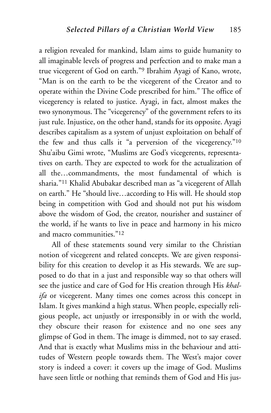a religion revealed for mankind, Islam aims to guide humanity to all imaginable levels of progress and perfection and to make man a true vicegerent of God on earth."9 Ibrahim Ayagi of Kano, wrote, "Man is on the earth to be the vicegerent of the Creator and to operate within the Divine Code prescribed for him." The office of vicegerency is related to justice. Ayagi, in fact, almost makes the two synonymous. The "vicegerency" of the government refers to its just rule. Injustice, on the other hand, stands for its opposite. Ayagi describes capitalism as a system of unjust exploitation on behalf of the few and thus calls it "a perversion of the vicegerency."10 Shu'aibu Gimi wrote, "Muslims are God's vicegerents, representatives on earth. They are expected to work for the actualization of all the…commandments, the most fundamental of which is sharia."11 Khalid Abubakar described man as "a vicegerent of Allah on earth." He "should live…according to His will. He should stop being in competition with God and should not put his wisdom above the wisdom of God, the creator, nourisher and sustainer of the world, if he wants to live in peace and harmony in his micro and macro communities."12

All of these statements sound very similar to the Christian notion of vicegerent and related concepts. We are given responsibility for this creation to develop it as His stewards. We are supposed to do that in a just and responsible way so that others will see the justice and care of God for His creation through His *khalifa* or vicegerent. Many times one comes across this concept in Islam. It gives mankind a high status. When people, especially religious people, act unjustly or irresponsibly in or with the world, they obscure their reason for existence and no one sees any glimpse of God in them. The image is dimmed, not to say erased. And that is exactly what Muslims miss in the behaviour and attitudes of Western people towards them. The West's major cover story is indeed a cover: it covers up the image of God. Muslims have seen little or nothing that reminds them of God and His jus-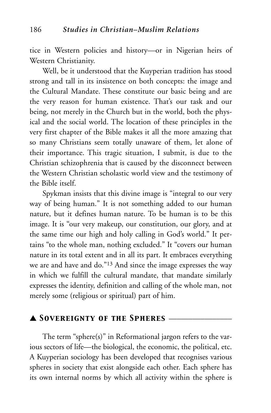tice in Western policies and history—or in Nigerian heirs of Western Christianity.

Well, be it understood that the Kuyperian tradition has stood strong and tall in its insistence on both concepts: the image and the Cultural Mandate. These constitute our basic being and are the very reason for human existence. That's our task and our being, not merely in the Church but in the world, both the physical and the social world. The location of these principles in the very first chapter of the Bible makes it all the more amazing that so many Christians seem totally unaware of them, let alone of their importance. This tragic situation, I submit, is due to the Christian schizophrenia that is caused by the disconnect between the Western Christian scholastic world view and the testimony of the Bible itself.

Spykman insists that this divine image is "integral to our very way of being human." It is not something added to our human nature, but it defines human nature. To be human is to be this image. It is "our very makeup, our constitution, our glory, and at the same time our high and holy calling in God's world." It pertains "to the whole man, nothing excluded." It "covers our human nature in its total extent and in all its part. It embraces everything we are and have and do."13 And since the image expresses the way in which we fulfill the cultural mandate, that mandate similarly expresses the identity, definition and calling of the whole man, not merely some (religious or spiritual) part of him.

# ▲ *Sovereignty of the Spheres* \_\_\_\_\_\_\_\_\_\_\_\_\_\_\_\_

The term "sphere(s)" in Reformational jargon refers to the various sectors of life—the biological, the economic, the political, etc. A Kuyperian sociology has been developed that recognises various spheres in society that exist alongside each other. Each sphere has its own internal norms by which all activity within the sphere is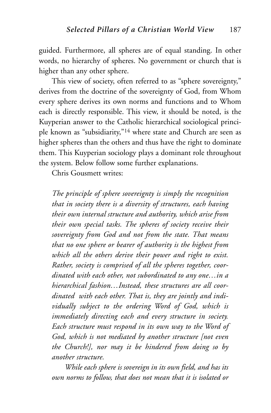guided. Furthermore, all spheres are of equal standing. In other words, no hierarchy of spheres. No government or church that is higher than any other sphere.

This view of society, often referred to as "sphere sovereignty," derives from the doctrine of the sovereignty of God, from Whom every sphere derives its own norms and functions and to Whom each is directly responsible. This view, it should be noted, is the Kuyperian answer to the Catholic hierarchical sociological principle known as "subsidiarity,"14 where state and Church are seen as higher spheres than the others and thus have the right to dominate them. This Kuyperian sociology plays a dominant role throughout the system. Below follow some further explanations.

Chris Gousmett writes:

*The principle of sphere sovereignty is simply the recognition that in society there is a diversity of structures, each having their own internal structure and authority, which arise from their own special tasks. The spheres of society receive their sovereignty from God and not from the state. That means that no one sphere or bearer of authority is the highest from which all the others derive their power and right to exist. Rather, society is comprised of all the spheres together, coordinated with each other, not subordinated to any one…in a hierarchical fashion…Instead, these structures are all coordinated with each other. That is, they are jointly and individually subject to the ordering Word of God, which is immediately directing each and every structure in society. Each structure must respond in its own way to the Word of God, which is not mediated by another structure [not even the Church!], nor may it be hindered from doing so by another structure.*

*While each sphere is sovereign in its own field, and has its own norms to follow, that does not mean that it is isolated or*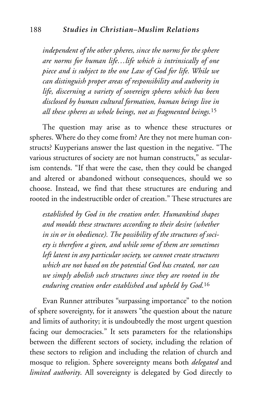*independent of the other spheres, since the norms for the sphere are norms for human life…life which is intrinsically of one piece and is subject to the one Law of God for life. While we can distinguish proper areas of responsibility and authority in life, discerning a variety of sovereign spheres which has been disclosed by human cultural formation, human beings live in all these spheres as whole beings, not as fragmented beings.*<sup>15</sup>

The question may arise as to whence these structures or spheres. Where do they come from? Are they not mere human constructs? Kuyperians answer the last question in the negative. "The various structures of society are not human constructs," as secularism contends. "If that were the case, then they could be changed and altered or abandoned without consequences, should we so choose. Instead, we find that these structures are enduring and rooted in the indestructible order of creation." These structures are

*established by God in the creation order. Humankind shapes and moulds these structures according to their desire (whether in sin or in obedience). The possibility of the structures of society is therefore a given, and while some of them are sometimes left latent in any particular society, we cannot create structures which are not based on the potential God has created, nor can we simply abolish such structures since they are rooted in the enduring creation order established and upheld by God.*<sup>16</sup>

Evan Runner attributes "surpassing importance" to the notion of sphere sovereignty, for it answers "the question about the nature and limits of authority; it is undoubtedly the most urgent question facing our democracies." It sets parameters for the relationships between the different sectors of society, including the relation of these sectors to religion and including the relation of church and mosque to religion. Sphere sovereignty means both *delegated* and *limited authority*. All sovereignty is delegated by God directly to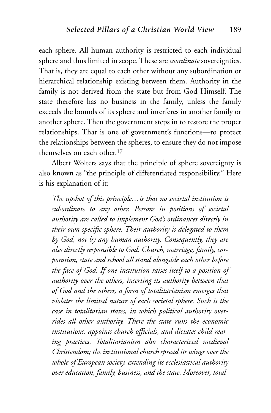each sphere. All human authority is restricted to each individual sphere and thus limited in scope. These are *coordinate* sovereignties. That is, they are equal to each other without any subordination or hierarchical relationship existing between them. Authority in the family is not derived from the state but from God Himself. The state therefore has no business in the family, unless the family exceeds the bounds of its sphere and interferes in another family or another sphere. Then the government steps in to restore the proper relationships. That is one of government's functions—to protect the relationships between the spheres, to ensure they do not impose themselves on each other.17

Albert Wolters says that the principle of sphere sovereignty is also known as "the principle of differentiated responsibility." Here is his explanation of it:

*The upshot of this principle…is that no societal institution is subordinate to any other. Persons in positions of societal authority are called to implement God's ordinances directly in their own specific sphere. Their authority is delegated to them by God, not by any human authority. Consequently, they are also directly responsible to God. Church, marriage, family, corporation, state and school all stand alongside each other before the face of God. If one institution raises itself to a position of authority over the others, inserting its authority between that of God and the others, a form of totalitarianism emerges that violates the limited nature of each societal sphere. Such is the case in totalitarian states, in which political authority overrides all other authority. There the state runs the economic institutions, appoints church officials, and dictates child-rearing practices. Totalitarianism also characterized medieval Christendom; the institutional church spread its wings over the whole of European society, extending its ecclesiastical authority over education, family, business, and the state. Moreover, total-*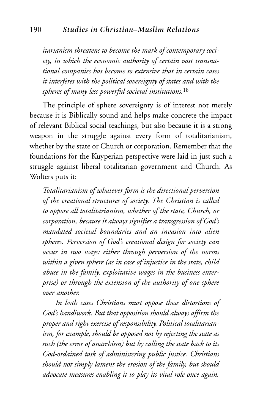*itarianism threatens to become the mark of contemporary society, in which the economic authority of certain vast transnational companies has become so extensive that in certain cases it interferes with the political sovereignty of states and with the spheres of many less powerful societal institutions.*<sup>18</sup>

The principle of sphere sovereignty is of interest not merely because it is Biblically sound and helps make concrete the impact of relevant Biblical social teachings, but also because it is a strong weapon in the struggle against every form of totalitarianism, whether by the state or Church or corporation. Remember that the foundations for the Kuyperian perspective were laid in just such a struggle against liberal totalitarian government and Church. As Wolters puts it:

*Totalitarianism of whatever form is the directional perversion of the creational structures of society. The Christian is called to oppose all totalitarianism, whether of the state, Church, or corporation, because it always signifies a transgression of God's mandated societal boundaries and an invasion into alien spheres. Perversion of God's creational design for society can occur in two ways: either through perversion of the norms within a given sphere (as in case of injustice in the state, child abuse in the family, exploitative wages in the business enterprise) or through the extension of the authority of one sphere over another.*

*In both cases Christians must oppose these distortions of God's handiwork. But that opposition should always affirm the proper and right exercise of responsibility. Political totalitarianism, for example, should be opposed not by rejecting the state as such (the error of anarchism) but by calling the state back to its God-ordained task of administering public justice. Christians should not simply lament the erosion of the family, but should advocate measures enabling it to play its vital role once again.*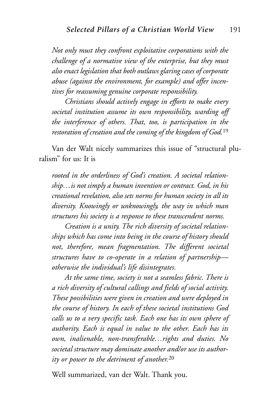*Not only must they confront exploitative corporations with the challenge of a normative view of the enterprise, but they must also enact legislation that both outlaws glaring cases of corporate abuse (against the environment, for example) and offer incentives for reassuming genuine corporate responsibility.*

*Christians should actively engage in efforts to make every societal institution assume its own responsibility, warding off the interference of others. That, too, is participation in the restoration of creation and the coming of the kingdom of God.*<sup>19</sup>

Van der Walt nicely summarizes this issue of "structural pluralism" for us: It is

*rooted in the orderliness of God's creation. A societal relationship…is not simply a human invention or contract. God, in his creational revelation, also sets norms for human society in all its diversity. Knowingly or unknowingly, the way in which man structures his society is a response to these transcendent norms.*

*Creation is a unity. The rich diversity of societal relationships which has come into being in the course of history should not, therefore, mean fragmentation. The different societal structures have to co-operate in a relation of partnership otherwise the individual's life disintegrates.*

*At the same time, society is not a seamless fabric. There is a rich diversity of cultural callings and fields of social activity. These possibilities were given in creation and were deployed in the course of history. In each of these societal institutions God calls us to a very specific task. Each one has its own sphere of authority. Each is equal in value to the other. Each has its own, inalienable, non-transferable…rights and duties. No societal structure may dominate another and/or use its authority or power to the detriment of another.*<sup>20</sup>

Well summarized, van der Walt. Thank you.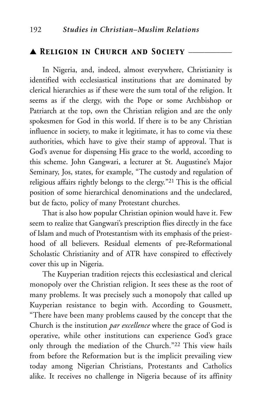# ▲ *Religion in Church and Society* \_\_\_\_\_\_\_\_\_\_\_

In Nigeria, and, indeed, almost everywhere, Christianity is identified with ecclesiastical institutions that are dominated by clerical hierarchies as if these were the sum total of the religion. It seems as if the clergy, with the Pope or some Archbishop or Patriarch at the top, own the Christian religion and are the only spokesmen for God in this world. If there is to be any Christian influence in society, to make it legitimate, it has to come via these authorities, which have to give their stamp of approval. That is God's avenue for dispensing His grace to the world, according to this scheme. John Gangwari, a lecturer at St. Augustine's Major Seminary, Jos, states, for example, "The custody and regulation of religious affairs rightly belongs to the clergy."21 This is the official position of some hierarchical denominations and the undeclared, but de facto*,* policy of many Protestant churches.

That is also how popular Christian opinion would have it. Few seem to realize that Gangwari's prescription flies directly in the face of Islam and much of Protestantism with its emphasis of the priesthood of all believers. Residual elements of pre-Reformational Scholastic Christianity and of ATR have conspired to effectively cover this up in Nigeria.

The Kuyperian tradition rejects this ecclesiastical and clerical monopoly over the Christian religion. It sees these as the root of many problems. It was precisely such a monopoly that called up Kuyperian resistance to begin with. According to Gousmett, "There have been many problems caused by the concept that the Church is the institution *par excellence* where the grace of God is operative, while other institutions can experience God's grace only through the mediation of the Church."22 This view hails from before the Reformation but is the implicit prevailing view today among Nigerian Christians, Protestants and Catholics alike. It receives no challenge in Nigeria because of its affinity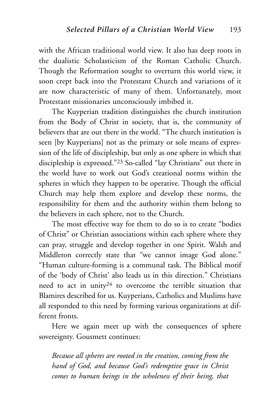with the African traditional world view. It also has deep roots in the dualistic Scholasticism of the Roman Catholic Church. Though the Reformation sought to overturn this world view, it soon crept back into the Protestant Church and variations of it are now characteristic of many of them. Unfortunately, most Protestant missionaries unconsciously imbibed it.

The Kuyperian tradition distinguishes the church institution from the Body of Christ in society, that is, the community of believers that are out there in the world. "The church institution is seen [by Kuyperians] not as the primary or sole means of expression of the life of discipleship, but only as one sphere in which that discipleship is expressed."23 So-called "lay Christians" out there in the world have to work out God's creational norms within the spheres in which they happen to be operative. Though the official Church may help them explore and develop these norms, the responsibility for them and the authority within them belong to the believers in each sphere, not to the Church.

The most effective way for them to do so is to create "bodies of Christ" or Christian associations within each sphere where they can pray, struggle and develop together in one Spirit. Walsh and Middleton correctly state that "we cannot image God alone." "Human culture-forming is a communal task. The Biblical motif of the 'body of Christ' also leads us in this direction." Christians need to act in unity<sup>24</sup> to overcome the terrible situation that Blamires described for us. Kuyperians, Catholics and Muslims have all responded to this need by forming various organizations at different fronts.

Here we again meet up with the consequences of sphere sovereignty. Gousmett continues:

*Because all spheres are rooted in the creation, coming from the hand of God, and because God's redemptive grace in Christ comes to human beings in the wholeness of their being, that*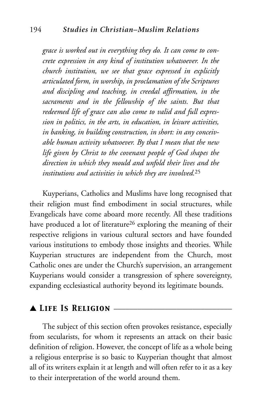*grace is worked out in everything they do. It can come to concrete expression in any kind of institution whatsoever. In the church institution, we see that grace expressed in explicitly articulated form, in worship, in proclamation of the Scriptures and discipling and teaching, in creedal affirmation, in the sacraments and in the fellowship of the saints. But that redeemed life of grace can also come to valid and full expression in politics, in the arts, in education, in leisure activities, in banking, in building construction, in short: in any conceivable human activity whatsoever. By that I mean that the new life given by Christ to the covenant people of God shapes the direction in which they mould and unfold their lives and the institutions and activities in which they are involved.*<sup>25</sup>

Kuyperians, Catholics and Muslims have long recognised that their religion must find embodiment in social structures, while Evangelicals have come aboard more recently. All these traditions have produced a lot of literature<sup>26</sup> exploring the meaning of their respective religions in various cultural sectors and have founded various institutions to embody those insights and theories. While Kuyperian structures are independent from the Church, most Catholic ones are under the Church's supervision, an arrangement Kuyperians would consider a transgression of sphere sovereignty, expanding ecclesiastical authority beyond its legitimate bounds.

# ▲ *Life Is Religion* \_\_\_\_\_\_\_\_\_\_\_\_\_\_\_\_\_\_\_\_\_\_\_\_\_\_\_\_\_\_

The subject of this section often provokes resistance, especially from secularists, for whom it represents an attack on their basic definition of religion. However, the concept of life as a whole being a religious enterprise is so basic to Kuyperian thought that almost all of its writers explain it at length and will often refer to it as a key to their interpretation of the world around them.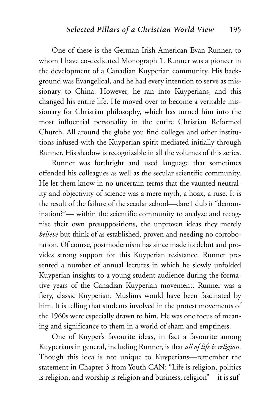One of these is the German-Irish American Evan Runner, to whom I have co-dedicated Monograph 1. Runner was a pioneer in the development of a Canadian Kuyperian community. His background was Evangelical, and he had every intention to serve as missionary to China. However, he ran into Kuyperians, and this changed his entire life. He moved over to become a veritable missionary for Christian philosophy, which has turned him into the most influential personality in the entire Christian Reformed Church. All around the globe you find colleges and other institutions infused with the Kuyperian spirit mediated initially through Runner. His shadow is recognizable in all the volumes of this series.

Runner was forthright and used language that sometimes offended his colleagues as well as the secular scientific community. He let them know in no uncertain terms that the vaunted neutrality and objectivity of science was a mere myth, a hoax, a ruse. It is the result of the failure of the secular school—dare I dub it "denomination?"— within the scientific community to analyze and recognise their own presuppositions, the unproven ideas they merely *believe* but think of as established, proven and needing no corroboration. Of course, postmodernism has since made its debut and provides strong support for this Kuyperian resistance. Runner presented a number of annual lectures in which he slowly unfolded Kuyperian insights to a young student audience during the formative years of the Canadian Kuyperian movement. Runner was a fiery, classic Kuyperian. Muslims would have been fascinated by him. It is telling that students involved in the protest movements of the 1960s were especially drawn to him. He was one focus of meaning and significance to them in a world of sham and emptiness.

One of Kuyper's favourite ideas, in fact a favourite among Kuyperians in general, including Runner, is that *all of life is religion.* Though this idea is not unique to Kuyperians—remember the statement in Chapter 3 from Youth CAN: "Life is religion, politics is religion, and worship is religion and business, religion"—it is suf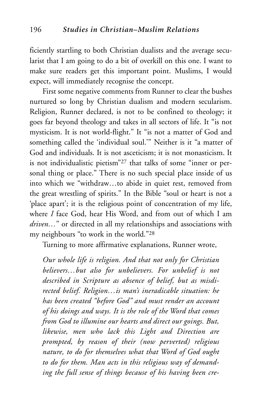ficiently startling to both Christian dualists and the average secularist that I am going to do a bit of overkill on this one. I want to make sure readers get this important point. Muslims, I would expect, will immediately recognise the concept.

First some negative comments from Runner to clear the bushes nurtured so long by Christian dualism and modern secularism. Religion, Runner declared, is not to be confined to theology; it goes far beyond theology and takes in all sectors of life. It "is not mysticism. It is not world-flight." It "is not a matter of God and something called the 'individual soul.'" Neither is it "a matter of God and individuals. It is not asceticism; it is not monasticism. It is not individualistic pietism"27 that talks of some "inner or personal thing or place." There is no such special place inside of us into which we "withdraw…to abide in quiet rest, removed from the great wrestling of spirits." In the Bible "soul or heart is not a 'place apart'; it is the religious point of concentration of my life, where *I* face God, hear His Word, and from out of which I am *driven…*" or directed in all my relationships and associations with my neighbours "to work in the world."28

Turning to more affirmative explanations, Runner wrote,

*Our whole life is religion. And that not only for Christian believers…but also for unbelievers. For unbelief is not described in Scripture as absence of belief, but as misdirected belief. Religion…is man's ineradicable situation: he has been created "before God" and must render an account of his doings and ways. It is the role of the Word that comes from God to illumine our hearts and direct our goings. But, likewise, men who lack this Light and Direction are prompted, by reason of their (now perverted) religious nature, to do for themselves what that Word of God ought to do for them. Man acts in this religious way of demanding the full sense of things because of his having been cre-*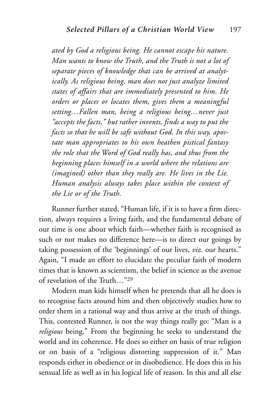*ated by God a religious being. He cannot escape his nature. Man wants to know the Truth, and the Truth is not a lot of separate pieces of knowledge that can be arrived at analytically. As religious being, man does not just analyze limited states of affairs that are immediately presented to him. He orders or places or locates them, gives them a meaningful setting…Fallen man, being a religious being…never just "accepts the facts," but rather invents, finds a way to put the facts so that he will be safe without God. In this way, apostate man appropriates to his own heathen pistical fantasy the role that the Word of God really has, and thus from the beginning places himself in a world where the relations are (imagined) other than they really are. He lives in the Lie. Human analysis always takes place within the context of the Lie or of the Truth.*

Runner further stated, "Human life, if it is to have a firm direction, always requires a living faith, and the fundamental debate of our time is one about which faith—whether faith is recognised as such or not makes no difference here—is to direct our goings by taking possession of the 'beginnings' of our lives, *viz*. our hearts." Again, "I made an effort to elucidate the peculiar faith of modern times that is known as scientism, the belief in science as the avenue of revelation of the Truth…"29

Modern man kids himself when he pretends that all he does is to recognise facts around him and then objectively studies how to order them in a rational way and thus arrive at the truth of things. This, contested Runner, is not the way things really go: "Man is a *religious* being." From the beginning he seeks to understand the world and its coherence. He does so either on basis of true religion or on basis of a "religious distorting suppression of it." Man responds either in obedience or in disobedience. He does this in his sensual life as well as in his logical life of reason. In this and all else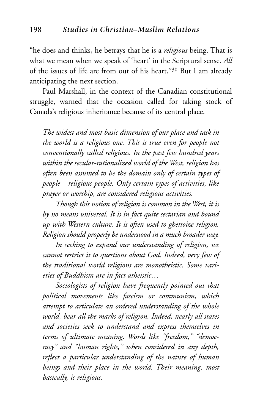"he does and thinks, he betrays that he is a *religious* being. That is what we mean when we speak of 'heart' in the Scriptural sense. *All* of the issues of life are from out of his heart."30 But I am already anticipating the next section.

Paul Marshall, in the context of the Canadian constitutional struggle, warned that the occasion called for taking stock of Canada's religious inheritance because of its central place.

*The widest and most basic dimension of our place and task in the world is a religious one. This is true even for people not conventionally called religious. In the past few hundred years within the secular-rationalized world of the West, religion has often been assumed to be the domain only of certain types of people—religious people. Only certain types of activities, like prayer or worship, are considered religious activities.*

*Though this notion of religion is common in the West, it is by no means universal. It is in fact quite sectarian and bound up with Western culture. It is often used to ghettoize religion. Religion should properly be understood in a much broader way.*

*In seeking to expand our understanding of religion, we cannot restrict it to questions about God. Indeed, very few of the traditional world religions are monotheistic. Some varieties of Buddhism are in fact atheistic…*

*Sociologists of religion have frequently pointed out that political movements like fascism or communism, which attempt to articulate an ordered understanding of the whole world, bear all the marks of religion. Indeed, nearly all states and societies seek to understand and express themselves in terms of ultimate meaning. Words like "freedom," "democracy" and "human rights," when considered in any depth, reflect a particular understanding of the nature of human beings and their place in the world. Their meaning, most basically, is religious.*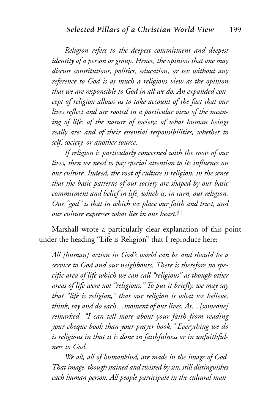*Religion refers to the deepest commitment and deepest identity of a person or group. Hence, the opinion that one may discuss constitutions, politics, education, or sex without any reference to God is as much a religious view as the opinion that we are responsible to God in all we do. An expanded concept of religion allows us to take account of the fact that our lives reflect and are rooted in a particular view of the meaning of life: of the nature of society; of what human beings really are; and of their essential responsibilities, whether to self, society, or another source.*

*If religion is particularly concerned with the roots of our lives, then we need to pay special attention to its influence on our culture. Indeed, the root of culture is religion, in the sense that the basic patterns of our society are shaped by our basic commitment and belief in life, which is, in turn, our religion. Our "god" is that in which we place our faith and trust, and our culture expresses what lies in our heart.*<sup>31</sup>

Marshall wrote a particularly clear explanation of this point under the heading "Life is Religion" that I reproduce here:

*All [human] action in God's world can be and should be a service to God and our neighbours. There is therefore no specific area of life which we can call "religious" as though other areas of life were not "religious." To put it briefly, we may say that "life is religion," that our religion is what we believe, think, say and do each…moment of our lives. As…[someone] remarked, "I can tell more about your faith from reading your cheque book than your prayer book." Everything we do is religious in that it is done in faithfulness or in unfaithfulness to God.*

*We all, all of humankind, are made in the image of God. That image, though stained and twisted by sin, still distinguishes each human person. All people participate in the cultural man-*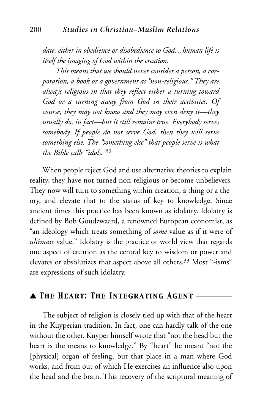*date, either in obedience or disobedience to God…human life is itself the imaging of God within the creation.*

*This means that we should never consider a person, a corporation, a book or a government as "non-religious." They are always religious in that they reflect either a turning toward God or a turning away from God in their activities. Of course, they may not know and they may even deny it—they usually do, in fact—but it still remains true. Everybody serves somebody. If people do not serve God, then they will serve something else. The "something else" that people serve is what the Bible calls "idols."*<sup>32</sup>

When people reject God and use alternative theories to explain reality, they have not turned non-religious or become unbelievers. They now will turn to something within creation, a thing or a theory, and elevate that to the status of key to knowledge. Since ancient times this practice has been known as idolatry. Idolatry is defined by Bob Goudzwaard, a renowned European economist, as "an ideology which treats something of *some* value as if it were of *ultimate* value." Idolatry is the practice or world view that regards one aspect of creation as the central key to wisdom or power and elevates or absolutizes that aspect above all others.33 Most "-isms" are expressions of such idolatry.

# ▲ *The Heart: The Integrating Agent* \_\_\_\_\_\_\_\_\_

The subject of religion is closely tied up with that of the heart in the Kuyperian tradition. In fact, one can hardly talk of the one without the other. Kuyper himself wrote that "not the head but the heart is the means to knowledge." By "heart" he meant "not the [physical] organ of feeling, but that place in a man where God works, and from out of which He exercises an influence also upon the head and the brain. This recovery of the scriptural meaning of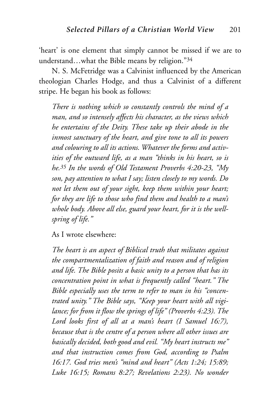'heart' is one element that simply cannot be missed if we are to understand…what the Bible means by religion."34

N. S. McFetridge was a Calvinist influenced by the American theologian Charles Hodge, and thus a Calvinist of a different stripe. He began his book as follows:

*There is nothing which so constantly controls the mind of a man, and so intensely affects his character, as the views which he entertains of the Deity. These take up their abode in the inmost sanctuary of the heart, and give tone to all its powers and colouring to all its actions. Whatever the forms and activities of the outward life, as a man "thinks in his heart, so is he.35 In the words of Old Testament Proverbs 4:20-23, "My son, pay attention to what I say; listen closely to my words. Do not let them out of your sight, keep them within your heart; for they are life to those who find them and health to a man's whole body. Above all else, guard your heart, for it is the wellspring of life."*

As I wrote elsewhere:

*The heart is an aspect of Biblical truth that militates against the compartmentalization of faith and reason and of religion and life. The Bible posits a basic unity to a person that has its concentration point in what is frequently called "heart." The Bible especially uses the term to refer to man in his "concentrated unity." The Bible says, "Keep your heart with all vigilance; for from it flow the springs of life" (Proverbs 4:23). The Lord looks first of all at a man's heart (I Samuel 16:7), because that is the centre of a person where all other issues are basically decided, both good and evil. "My heart instructs me" and that instruction comes from God, according to Psalm 16:17. God tries men's "mind and heart" (Acts 1:24; 15:89; Luke 16:15; Romans 8:27; Revelations 2:23). No wonder*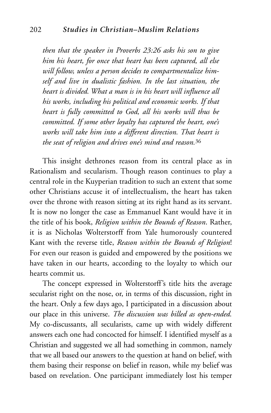*then that the speaker in Proverbs 23:26 asks his son to give him his heart, for once that heart has been captured, all else will follow, unless a person decides to compartmentalize himself and live in dualistic fashion. In the last situation, the heart is divided. What a man is in his heart will influence all his works, including his political and economic works. If that heart is fully committed to God, all his works will thus be committed. If some other loyalty has captured the heart, one's works will take him into a different direction. That heart is the seat of religion and drives one's mind and reason.*<sup>36</sup>

This insight dethrones reason from its central place as in Rationalism and secularism. Though reason continues to play a central role in the Kuyperian tradition to such an extent that some other Christians accuse it of intellectualism, the heart has taken over the throne with reason sitting at its right hand as its servant. It is now no longer the case as Emmanuel Kant would have it in the title of his book, *Religion within the Bounds of Reason*. Rather, it is as Nicholas Wolterstorff from Yale humorously countered Kant with the reverse title, *Reason within the Bounds of Religion*! For even our reason is guided and empowered by the positions we have taken in our hearts, according to the loyalty to which our hearts commit us.

The concept expressed in Wolterstorff's title hits the average secularist right on the nose, or, in terms of this discussion, right in the heart. Only a few days ago, I participated in a discussion about our place in this universe. *The discussion was billed as open-ended.* My co-discussants, all secularists, came up with widely different answers each one had concocted for himself. I identified myself as a Christian and suggested we all had something in common, namely that we all based our answers to the question at hand on belief, with them basing their response on belief in reason, while my belief was based on revelation. One participant immediately lost his temper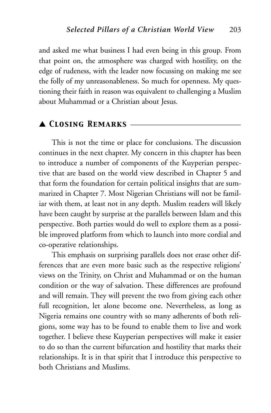and asked me what business I had even being in this group. From that point on, the atmosphere was charged with hostility, on the edge of rudeness, with the leader now focussing on making me see the folly of my unreasonableness. So much for openness. My questioning their faith in reason was equivalent to challenging a Muslim about Muhammad or a Christian about Jesus.

# ▲ *Closing Remarks* \_\_\_\_\_\_\_\_\_\_\_\_\_\_\_\_\_\_\_\_\_\_\_\_\_\_\_\_

This is not the time or place for conclusions. The discussion continues in the next chapter. My concern in this chapter has been to introduce a number of components of the Kuyperian perspective that are based on the world view described in Chapter 5 and that form the foundation for certain political insights that are summarized in Chapter 7. Most Nigerian Christians will not be familiar with them, at least not in any depth. Muslim readers will likely have been caught by surprise at the parallels between Islam and this perspective. Both parties would do well to explore them as a possible improved platform from which to launch into more cordial and co-operative relationships.

This emphasis on surprising parallels does not erase other differences that are even more basic such as the respective religions' views on the Trinity, on Christ and Muhammad or on the human condition or the way of salvation. These differences are profound and will remain. They will prevent the two from giving each other full recognition, let alone become one. Nevertheless, as long as Nigeria remains one country with so many adherents of both religions, some way has to be found to enable them to live and work together. I believe these Kuyperian perspectives will make it easier to do so than the current bifurcation and hostility that marks their relationships. It is in that spirit that I introduce this perspective to both Christians and Muslims.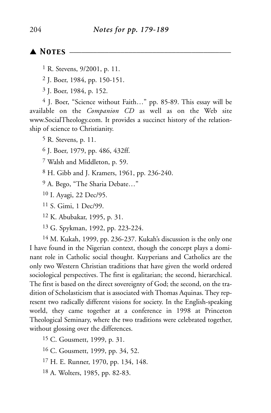# ▲ *Notes* \_\_\_\_\_\_\_\_\_\_\_\_\_\_\_\_\_\_\_\_\_\_\_\_\_\_\_\_\_\_\_\_\_\_\_\_\_\_\_\_\_

- 1 R. Stevens, 9/2001, p. 11.
- 2 J. Boer, 1984, pp. 150-151.
- 3 J. Boer, 1984, p. 152.

4 J. Boer, "Science without Faith…" pp. 85-89. This essay will be available on the *Companion CD* as well as on the Web site www.SocialTheology.com. It provides a succinct history of the relationship of science to Christianity.

5 R. Stevens, p. 11.

6 J. Boer, 1979, pp. 486, 432ff.

7 Walsh and Middleton, p. 59.

8 H. Gibb and J. Kramers, 1961, pp. 236-240.

9 A. Bego, "The Sharia Debate…"

- 10 I. Ayagi, 22 Dec/95.
- 11 S. Gimi, 1 Dec/99.
- 12 K. Abubakar, 1995, p. 31.
- 13 G. Spykman, 1992, pp. 223-224.

14 M. Kukah, 1999, pp. 236-237. Kukah's discussion is the only one I have found in the Nigerian context, though the concept plays a dominant role in Catholic social thought. Kuyperians and Catholics are the only two Western Christian traditions that have given the world ordered sociological perspectives. The first is egalitarian; the second, hierarchical. The first is based on the direct sovereignty of God; the second, on the tradition of Scholasticism that is associated with Thomas Aquinas. They represent two radically different visions for society. In the English-speaking world, they came together at a conference in 1998 at Princeton Theological Seminary, where the two traditions were celebrated together, without glossing over the differences.

- 15 C. Gousmett, 1999, p. 31.
- 16 C. Gousmett, 1999, pp. 34, 52.
- 17 H. E. Runner, 1970, pp. 134, 148.
- 18 A. Wolters, 1985, pp. 82-83.